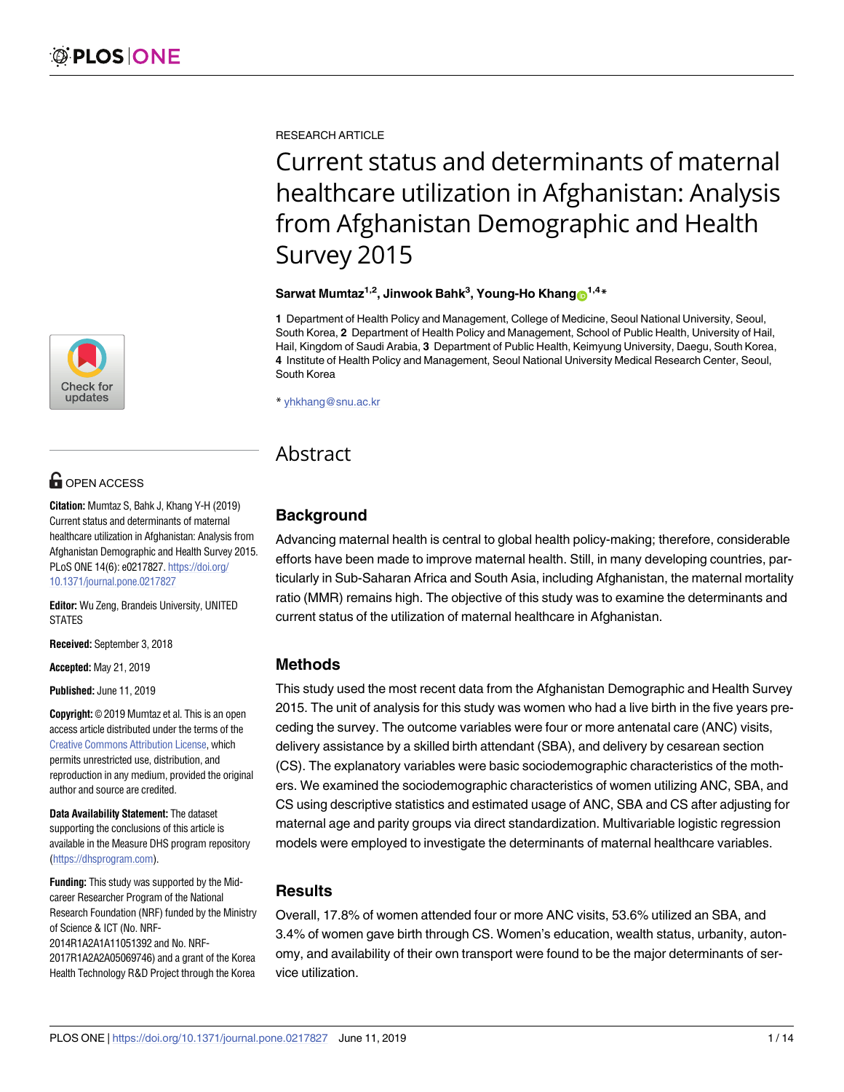[a1111111111](http://crossmark.crossref.org/dialog/?doi=10.1371/journal.pone.0217827&domain=pdf&date_stamp=2019-06-11) [a1111111111](http://crossmark.crossref.org/dialog/?doi=10.1371/journal.pone.0217827&domain=pdf&date_stamp=2019-06-11) [a1111111111](http://crossmark.crossref.org/dialog/?doi=10.1371/journal.pone.0217827&domain=pdf&date_stamp=2019-06-11) Check for updates

# **OPEN ACCESS**

**Citation:** Mumtaz S, Bahk J, Khang Y-H (2019) Current status and determinants of maternal healthcare utilization in Afghanistan: Analysis from Afghanistan Demographic and Health Survey 2015. PLoS ONE 14(6): e0217827. [https://doi.org/](https://doi.org/10.1371/journal.pone.0217827) [10.1371/journal.pone.0217827](https://doi.org/10.1371/journal.pone.0217827)

**Editor:** Wu Zeng, Brandeis University, UNITED STATES

**Received:** September 3, 2018

**Accepted:** May 21, 2019

**Published:** June 11, 2019

**Copyright:** © 2019 Mumtaz et al. This is an open access article distributed under the terms of the Creative Commons [Attribution](http://creativecommons.org/licenses/by/4.0/) License, which permits unrestricted use, distribution, and reproduction in any medium, provided the original author and source are credited.

**Data Availability Statement:** The dataset supporting the conclusions of this article is available in the Measure DHS program repository [\(https://dhsprogram.com](https://dhsprogram.com)).

**Funding:** This study was supported by the Midcareer Researcher Program of the National Research Foundation (NRF) funded by the Ministry of Science & ICT (No. NRF-2014R1A2A1A11051392 and No. NRF-2017R1A2A2A05069746) and a grant of the Korea Health Technology R&D Project through the Korea RESEARCH ARTICLE

# Current status and determinants of maternal healthcare utilization in Afghanistan: Analysis from Afghanistan Demographic and Health Survey 2015

#### $\mathsf{S}$ arwat Mumtaz $^{1,2}$ , Jinwook Bahk $^3$ , Young-Ho Khang $\mathsf{D}^{1,4}$ \*

**1** Department of Health Policy and Management, College of Medicine, Seoul National University, Seoul, South Korea, **2** Department of Health Policy and Management, School of Public Health, University of Hail, Hail, Kingdom of Saudi Arabia, **3** Department of Public Health, Keimyung University, Daegu, South Korea, **4** Institute of Health Policy and Management, Seoul National University Medical Research Center, Seoul, South Korea

\* yhkhang@snu.ac.kr

# Abstract

# **Background**

Advancing maternal health is central to global health policy-making; therefore, considerable efforts have been made to improve maternal health. Still, in many developing countries, particularly in Sub-Saharan Africa and South Asia, including Afghanistan, the maternal mortality ratio (MMR) remains high. The objective of this study was to examine the determinants and current status of the utilization of maternal healthcare in Afghanistan.

# **Methods**

This study used the most recent data from the Afghanistan Demographic and Health Survey 2015. The unit of analysis for this study was women who had a live birth in the five years preceding the survey. The outcome variables were four or more antenatal care (ANC) visits, delivery assistance by a skilled birth attendant (SBA), and delivery by cesarean section (CS). The explanatory variables were basic sociodemographic characteristics of the mothers. We examined the sociodemographic characteristics of women utilizing ANC, SBA, and CS using descriptive statistics and estimated usage of ANC, SBA and CS after adjusting for maternal age and parity groups via direct standardization. Multivariable logistic regression models were employed to investigate the determinants of maternal healthcare variables.

# **Results**

Overall, 17.8% of women attended four or more ANC visits, 53.6% utilized an SBA, and 3.4% of women gave birth through CS. Women's education, wealth status, urbanity, autonomy, and availability of their own transport were found to be the major determinants of service utilization.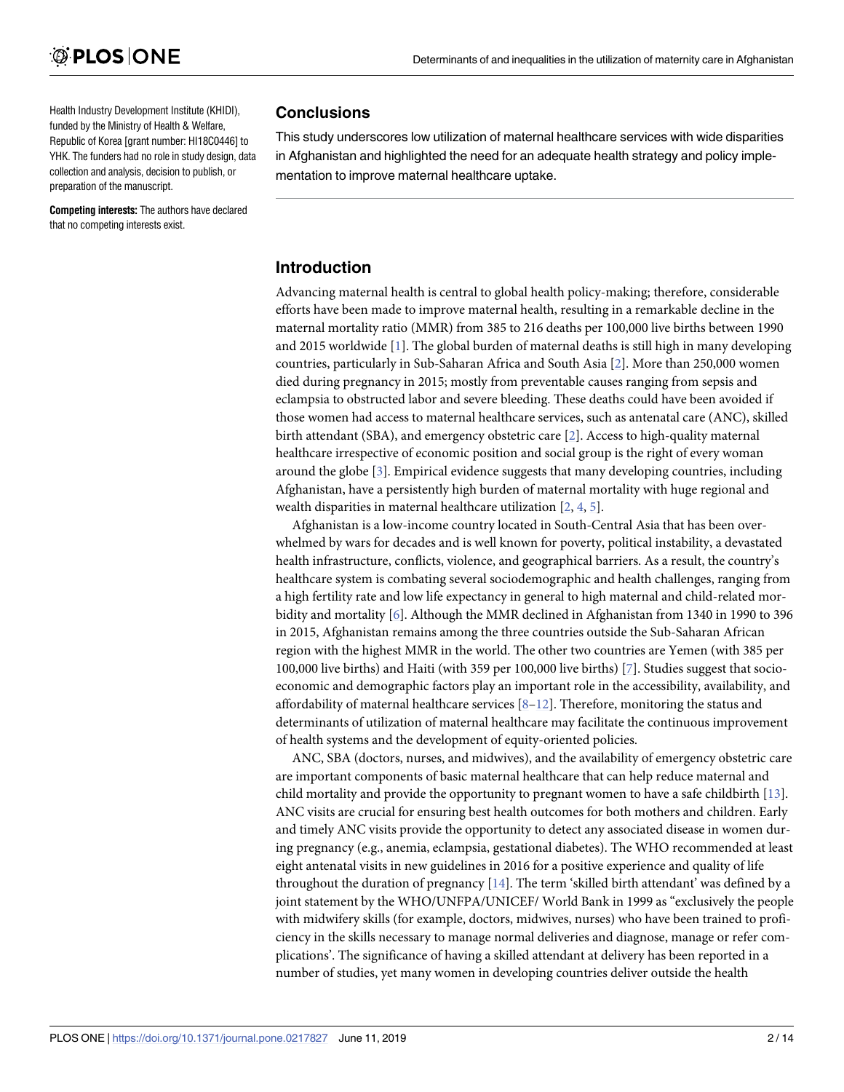<span id="page-1-0"></span>Health Industry Development Institute (KHIDI), funded by the Ministry of Health & Welfare, Republic of Korea [grant number: HI18C0446] to YHK. The funders had no role in study design, data collection and analysis, decision to publish, or preparation of the manuscript.

**Competing interests:** The authors have declared that no competing interests exist.

#### **Conclusions**

This study underscores low utilization of maternal healthcare services with wide disparities in Afghanistan and highlighted the need for an adequate health strategy and policy implementation to improve maternal healthcare uptake.

## **Introduction**

Advancing maternal health is central to global health policy-making; therefore, considerable efforts have been made to improve maternal health, resulting in a remarkable decline in the maternal mortality ratio (MMR) from 385 to 216 deaths per 100,000 live births between 1990 and 2015 worldwide [[1](#page-11-0)]. The global burden of maternal deaths is still high in many developing countries, particularly in Sub-Saharan Africa and South Asia [\[2\]](#page-11-0). More than 250,000 women died during pregnancy in 2015; mostly from preventable causes ranging from sepsis and eclampsia to obstructed labor and severe bleeding. These deaths could have been avoided if those women had access to maternal healthcare services, such as antenatal care (ANC), skilled birth attendant (SBA), and emergency obstetric care [[2\]](#page-11-0). Access to high-quality maternal healthcare irrespective of economic position and social group is the right of every woman around the globe [\[3\]](#page-11-0). Empirical evidence suggests that many developing countries, including Afghanistan, have a persistently high burden of maternal mortality with huge regional and wealth disparities in maternal healthcare utilization [\[2](#page-11-0), [4](#page-11-0), [5\]](#page-11-0).

Afghanistan is a low-income country located in South-Central Asia that has been overwhelmed by wars for decades and is well known for poverty, political instability, a devastated health infrastructure, conflicts, violence, and geographical barriers. As a result, the country's healthcare system is combating several sociodemographic and health challenges, ranging from a high fertility rate and low life expectancy in general to high maternal and child-related morbidity and mortality [\[6](#page-11-0)]. Although the MMR declined in Afghanistan from 1340 in 1990 to 396 in 2015, Afghanistan remains among the three countries outside the Sub-Saharan African region with the highest MMR in the world. The other two countries are Yemen (with 385 per 100,000 live births) and Haiti (with 359 per 100,000 live births) [\[7](#page-11-0)]. Studies suggest that socioeconomic and demographic factors play an important role in the accessibility, availability, and affordability of maternal healthcare services  $[8-12]$  $[8-12]$  $[8-12]$ . Therefore, monitoring the status and determinants of utilization of maternal healthcare may facilitate the continuous improvement of health systems and the development of equity-oriented policies.

ANC, SBA (doctors, nurses, and midwives), and the availability of emergency obstetric care are important components of basic maternal healthcare that can help reduce maternal and child mortality and provide the opportunity to pregnant women to have a safe childbirth [[13](#page-12-0)]. ANC visits are crucial for ensuring best health outcomes for both mothers and children. Early and timely ANC visits provide the opportunity to detect any associated disease in women during pregnancy (e.g., anemia, eclampsia, gestational diabetes). The WHO recommended at least eight antenatal visits in new guidelines in 2016 for a positive experience and quality of life throughout the duration of pregnancy [\[14\]](#page-12-0). The term 'skilled birth attendant' was defined by a joint statement by the WHO/UNFPA/UNICEF/ World Bank in 1999 as "exclusively the people with midwifery skills (for example, doctors, midwives, nurses) who have been trained to proficiency in the skills necessary to manage normal deliveries and diagnose, manage or refer complications'. The significance of having a skilled attendant at delivery has been reported in a number of studies, yet many women in developing countries deliver outside the health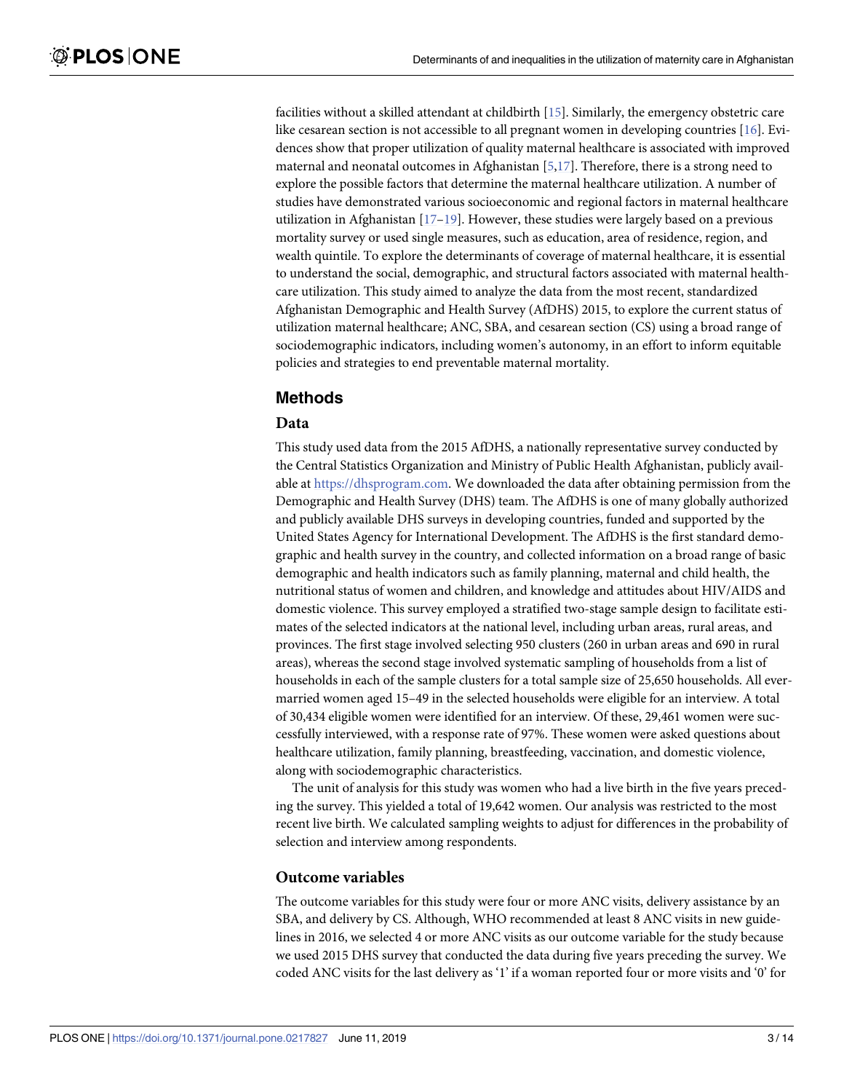<span id="page-2-0"></span>facilities without a skilled attendant at childbirth [[15](#page-12-0)]. Similarly, the emergency obstetric care like cesarean section is not accessible to all pregnant women in developing countries [[16](#page-12-0)]. Evidences show that proper utilization of quality maternal healthcare is associated with improved maternal and neonatal outcomes in Afghanistan [\[5](#page-11-0)[,17\]](#page-12-0). Therefore, there is a strong need to explore the possible factors that determine the maternal healthcare utilization. A number of studies have demonstrated various socioeconomic and regional factors in maternal healthcare utilization in Afghanistan  $[17-19]$ . However, these studies were largely based on a previous mortality survey or used single measures, such as education, area of residence, region, and wealth quintile. To explore the determinants of coverage of maternal healthcare, it is essential to understand the social, demographic, and structural factors associated with maternal healthcare utilization. This study aimed to analyze the data from the most recent, standardized Afghanistan Demographic and Health Survey (AfDHS) 2015, to explore the current status of utilization maternal healthcare; ANC, SBA, and cesarean section (CS) using a broad range of sociodemographic indicators, including women's autonomy, in an effort to inform equitable policies and strategies to end preventable maternal mortality.

## **Methods**

#### **Data**

This study used data from the 2015 AfDHS, a nationally representative survey conducted by the Central Statistics Organization and Ministry of Public Health Afghanistan, publicly available at [https://dhsprogram.com](https://dhsprogram.com/). We downloaded the data after obtaining permission from the Demographic and Health Survey (DHS) team. The AfDHS is one of many globally authorized and publicly available DHS surveys in developing countries, funded and supported by the United States Agency for International Development. The AfDHS is the first standard demographic and health survey in the country, and collected information on a broad range of basic demographic and health indicators such as family planning, maternal and child health, the nutritional status of women and children, and knowledge and attitudes about HIV/AIDS and domestic violence. This survey employed a stratified two-stage sample design to facilitate estimates of the selected indicators at the national level, including urban areas, rural areas, and provinces. The first stage involved selecting 950 clusters (260 in urban areas and 690 in rural areas), whereas the second stage involved systematic sampling of households from a list of households in each of the sample clusters for a total sample size of 25,650 households. All evermarried women aged 15–49 in the selected households were eligible for an interview. A total of 30,434 eligible women were identified for an interview. Of these, 29,461 women were successfully interviewed, with a response rate of 97%. These women were asked questions about healthcare utilization, family planning, breastfeeding, vaccination, and domestic violence, along with sociodemographic characteristics.

The unit of analysis for this study was women who had a live birth in the five years preceding the survey. This yielded a total of 19,642 women. Our analysis was restricted to the most recent live birth. We calculated sampling weights to adjust for differences in the probability of selection and interview among respondents.

#### **Outcome variables**

The outcome variables for this study were four or more ANC visits, delivery assistance by an SBA, and delivery by CS. Although, WHO recommended at least 8 ANC visits in new guidelines in 2016, we selected 4 or more ANC visits as our outcome variable for the study because we used 2015 DHS survey that conducted the data during five years preceding the survey. We coded ANC visits for the last delivery as '1' if a woman reported four or more visits and '0' for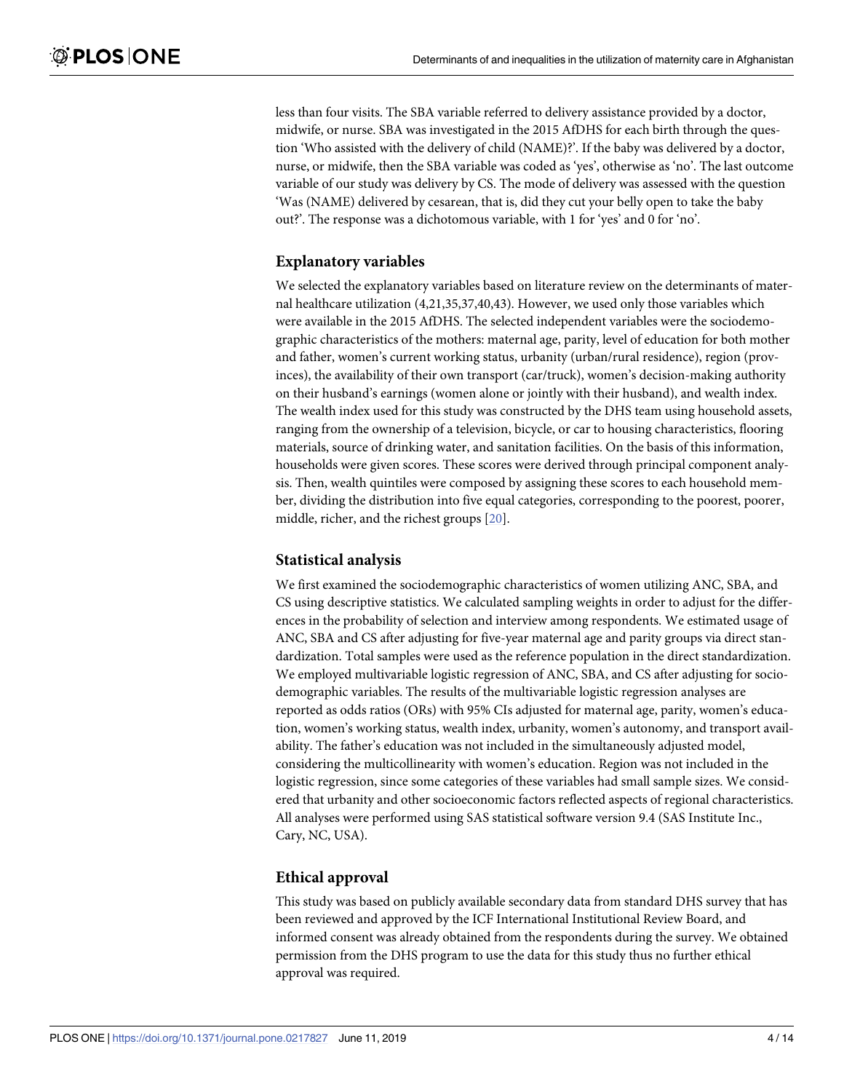<span id="page-3-0"></span>less than four visits. The SBA variable referred to delivery assistance provided by a doctor, midwife, or nurse. SBA was investigated in the 2015 AfDHS for each birth through the question 'Who assisted with the delivery of child (NAME)?'. If the baby was delivered by a doctor, nurse, or midwife, then the SBA variable was coded as 'yes', otherwise as 'no'. The last outcome variable of our study was delivery by CS. The mode of delivery was assessed with the question 'Was (NAME) delivered by cesarean, that is, did they cut your belly open to take the baby out?'. The response was a dichotomous variable, with 1 for 'yes' and 0 for 'no'.

#### **Explanatory variables**

We selected the explanatory variables based on literature review on the determinants of maternal healthcare utilization (4,21,35,37,40,43). However, we used only those variables which were available in the 2015 AfDHS. The selected independent variables were the sociodemographic characteristics of the mothers: maternal age, parity, level of education for both mother and father, women's current working status, urbanity (urban/rural residence), region (provinces), the availability of their own transport (car/truck), women's decision-making authority on their husband's earnings (women alone or jointly with their husband), and wealth index. The wealth index used for this study was constructed by the DHS team using household assets, ranging from the ownership of a television, bicycle, or car to housing characteristics, flooring materials, source of drinking water, and sanitation facilities. On the basis of this information, households were given scores. These scores were derived through principal component analysis. Then, wealth quintiles were composed by assigning these scores to each household member, dividing the distribution into five equal categories, corresponding to the poorest, poorer, middle, richer, and the richest groups [[20](#page-12-0)].

#### **Statistical analysis**

We first examined the sociodemographic characteristics of women utilizing ANC, SBA, and CS using descriptive statistics. We calculated sampling weights in order to adjust for the differences in the probability of selection and interview among respondents. We estimated usage of ANC, SBA and CS after adjusting for five-year maternal age and parity groups via direct standardization. Total samples were used as the reference population in the direct standardization. We employed multivariable logistic regression of ANC, SBA, and CS after adjusting for sociodemographic variables. The results of the multivariable logistic regression analyses are reported as odds ratios (ORs) with 95% CIs adjusted for maternal age, parity, women's education, women's working status, wealth index, urbanity, women's autonomy, and transport availability. The father's education was not included in the simultaneously adjusted model, considering the multicollinearity with women's education. Region was not included in the logistic regression, since some categories of these variables had small sample sizes. We considered that urbanity and other socioeconomic factors reflected aspects of regional characteristics. All analyses were performed using SAS statistical software version 9.4 (SAS Institute Inc., Cary, NC, USA).

#### **Ethical approval**

This study was based on publicly available secondary data from standard DHS survey that has been reviewed and approved by the ICF International Institutional Review Board, and informed consent was already obtained from the respondents during the survey. We obtained permission from the DHS program to use the data for this study thus no further ethical approval was required.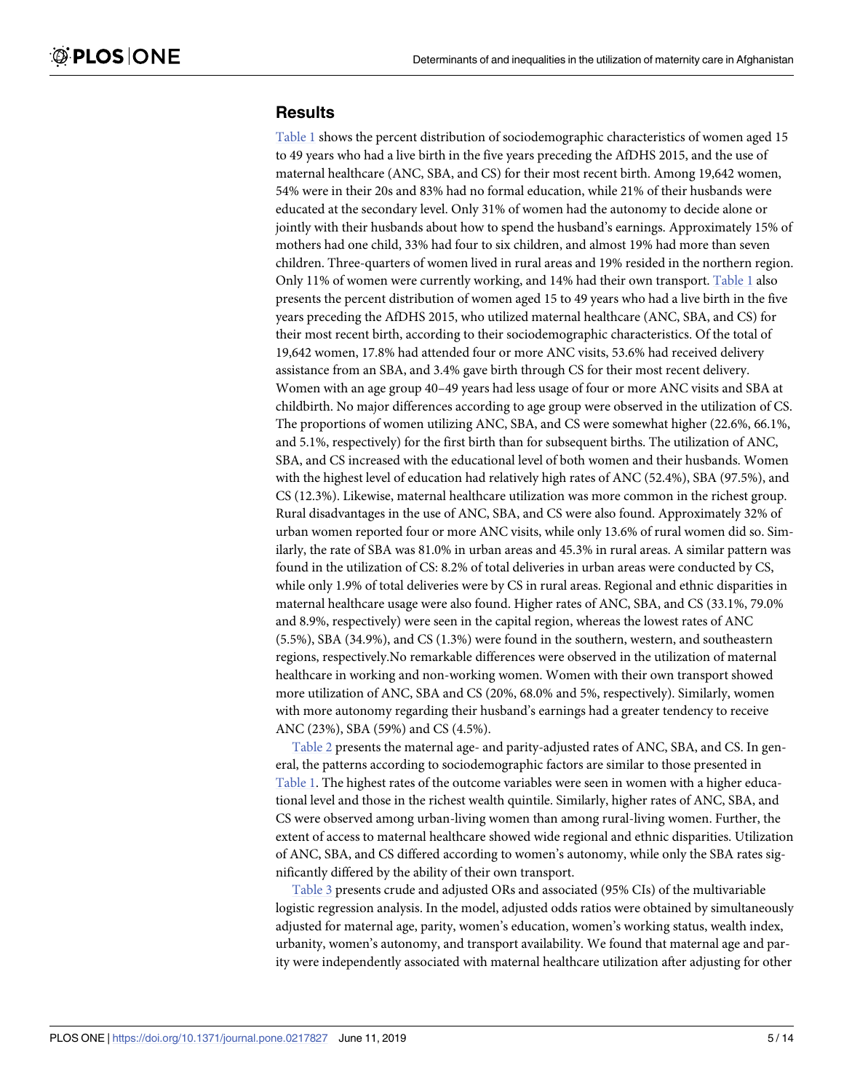#### <span id="page-4-0"></span>**Results**

[Table](#page-5-0) 1 shows the percent distribution of sociodemographic characteristics of women aged 15 to 49 years who had a live birth in the five years preceding the AfDHS 2015, and the use of maternal healthcare (ANC, SBA, and CS) for their most recent birth. Among 19,642 women, 54% were in their 20s and 83% had no formal education, while 21% of their husbands were educated at the secondary level. Only 31% of women had the autonomy to decide alone or jointly with their husbands about how to spend the husband's earnings. Approximately 15% of mothers had one child, 33% had four to six children, and almost 19% had more than seven children. Three-quarters of women lived in rural areas and 19% resided in the northern region. Only 11% of women were currently working, and 14% had their own transport. [Table](#page-5-0) 1 also presents the percent distribution of women aged 15 to 49 years who had a live birth in the five years preceding the AfDHS 2015, who utilized maternal healthcare (ANC, SBA, and CS) for their most recent birth, according to their sociodemographic characteristics. Of the total of 19,642 women, 17.8% had attended four or more ANC visits, 53.6% had received delivery assistance from an SBA, and 3.4% gave birth through CS for their most recent delivery. Women with an age group 40–49 years had less usage of four or more ANC visits and SBA at childbirth. No major differences according to age group were observed in the utilization of CS. The proportions of women utilizing ANC, SBA, and CS were somewhat higher (22.6%, 66.1%, and 5.1%, respectively) for the first birth than for subsequent births. The utilization of ANC, SBA, and CS increased with the educational level of both women and their husbands. Women with the highest level of education had relatively high rates of ANC (52.4%), SBA (97.5%), and CS (12.3%). Likewise, maternal healthcare utilization was more common in the richest group. Rural disadvantages in the use of ANC, SBA, and CS were also found. Approximately 32% of urban women reported four or more ANC visits, while only 13.6% of rural women did so. Similarly, the rate of SBA was 81.0% in urban areas and 45.3% in rural areas. A similar pattern was found in the utilization of CS: 8.2% of total deliveries in urban areas were conducted by CS, while only 1.9% of total deliveries were by CS in rural areas. Regional and ethnic disparities in maternal healthcare usage were also found. Higher rates of ANC, SBA, and CS (33.1%, 79.0% and 8.9%, respectively) were seen in the capital region, whereas the lowest rates of ANC (5.5%), SBA (34.9%), and CS (1.3%) were found in the southern, western, and southeastern regions, respectively.No remarkable differences were observed in the utilization of maternal healthcare in working and non-working women. Women with their own transport showed more utilization of ANC, SBA and CS (20%, 68.0% and 5%, respectively). Similarly, women with more autonomy regarding their husband's earnings had a greater tendency to receive ANC (23%), SBA (59%) and CS (4.5%).

[Table](#page-7-0) 2 presents the maternal age- and parity-adjusted rates of ANC, SBA, and CS. In general, the patterns according to sociodemographic factors are similar to those presented in [Table](#page-5-0) 1. The highest rates of the outcome variables were seen in women with a higher educational level and those in the richest wealth quintile. Similarly, higher rates of ANC, SBA, and CS were observed among urban-living women than among rural-living women. Further, the extent of access to maternal healthcare showed wide regional and ethnic disparities. Utilization of ANC, SBA, and CS differed according to women's autonomy, while only the SBA rates significantly differed by the ability of their own transport.

[Table](#page-8-0) 3 presents crude and adjusted ORs and associated (95% CIs) of the multivariable logistic regression analysis. In the model, adjusted odds ratios were obtained by simultaneously adjusted for maternal age, parity, women's education, women's working status, wealth index, urbanity, women's autonomy, and transport availability. We found that maternal age and parity were independently associated with maternal healthcare utilization after adjusting for other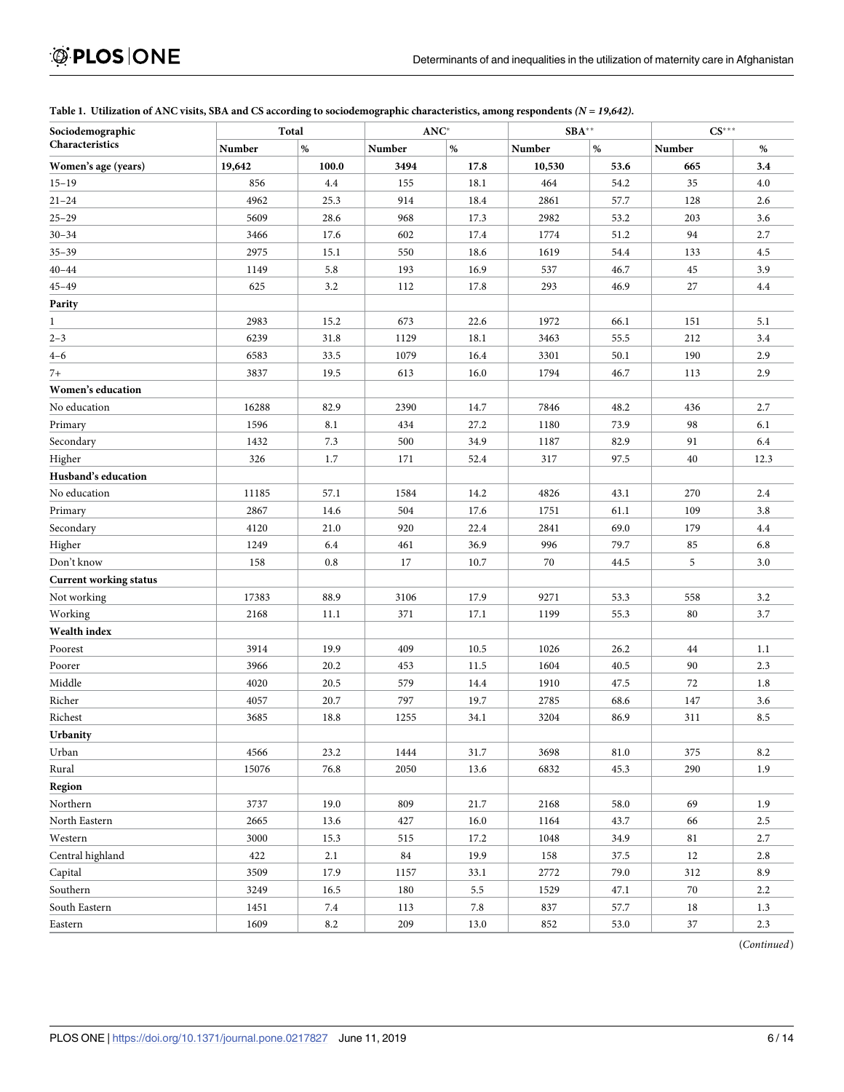| Sociodemographic              | Total  |         | $ANC^*$ |      | $SBA**$ |      | $CS***$ |      |
|-------------------------------|--------|---------|---------|------|---------|------|---------|------|
| Characteristics               | Number | $\%$    | Number  | $\%$ | Number  | $\%$ | Number  | %    |
| Women's age (years)           | 19,642 | 100.0   | 3494    | 17.8 | 10,530  | 53.6 | 665     | 3.4  |
| $15 - 19$                     | 856    | 4.4     | 155     | 18.1 | 464     | 54.2 | 35      | 4.0  |
| $21 - 24$                     | 4962   | 25.3    | 914     | 18.4 | 2861    | 57.7 | 128     | 2.6  |
| $25 - 29$                     | 5609   | 28.6    | 968     | 17.3 | 2982    | 53.2 | 203     | 3.6  |
| $30 - 34$                     | 3466   | 17.6    | 602     | 17.4 | 1774    | 51.2 | 94      | 2.7  |
| $35 - 39$                     | 2975   | 15.1    | 550     | 18.6 | 1619    | 54.4 | 133     | 4.5  |
| $40 - 44$                     | 1149   | 5.8     | 193     | 16.9 | 537     | 46.7 | 45      | 3.9  |
| $45 - 49$                     | 625    | 3.2     | 112     | 17.8 | 293     | 46.9 | 27      | 4.4  |
| Parity                        |        |         |         |      |         |      |         |      |
| $\mathbf{1}$                  | 2983   | 15.2    | 673     | 22.6 | 1972    | 66.1 | 151     | 5.1  |
| $2 - 3$                       | 6239   | 31.8    | 1129    | 18.1 | 3463    | 55.5 | 212     | 3.4  |
| $4 - 6$                       | 6583   | 33.5    | 1079    | 16.4 | 3301    | 50.1 | 190     | 2.9  |
| $7+$                          | 3837   | 19.5    | 613     | 16.0 | 1794    | 46.7 | 113     | 2.9  |
| Women's education             |        |         |         |      |         |      |         |      |
| No education                  | 16288  | 82.9    | 2390    | 14.7 | 7846    | 48.2 | 436     | 2.7  |
| Primary                       | 1596   | 8.1     | 434     | 27.2 | 1180    | 73.9 | 98      | 6.1  |
| Secondary                     | 1432   | 7.3     | 500     | 34.9 | 1187    | 82.9 | 91      | 6.4  |
| Higher                        | 326    | 1.7     | 171     | 52.4 | 317     | 97.5 | 40      | 12.3 |
| Husband's education           |        |         |         |      |         |      |         |      |
| No education                  | 11185  | 57.1    | 1584    | 14.2 | 4826    | 43.1 | 270     | 2.4  |
| Primary                       | 2867   | 14.6    | 504     | 17.6 | 1751    | 61.1 | 109     | 3.8  |
| Secondary                     | 4120   | 21.0    | 920     | 22.4 | 2841    | 69.0 | 179     | 4.4  |
| Higher                        | 1249   | 6.4     | 461     | 36.9 | 996     | 79.7 | 85      | 6.8  |
| Don't know                    | 158    | 0.8     | 17      | 10.7 | 70      | 44.5 | 5       | 3.0  |
| <b>Current working status</b> |        |         |         |      |         |      |         |      |
| Not working                   | 17383  | 88.9    | 3106    | 17.9 | 9271    | 53.3 | 558     | 3.2  |
| Working                       | 2168   | 11.1    | 371     | 17.1 | 1199    | 55.3 | 80      | 3.7  |
| Wealth index                  |        |         |         |      |         |      |         |      |
| Poorest                       | 3914   | 19.9    | 409     | 10.5 | 1026    | 26.2 | 44      | 1.1  |
| Poorer                        | 3966   | 20.2    | 453     | 11.5 | 1604    | 40.5 | 90      | 2.3  |
| Middle                        | 4020   | 20.5    | 579     | 14.4 | 1910    | 47.5 | 72      | 1.8  |
| Richer                        | 4057   | 20.7    | 797     | 19.7 | 2785    | 68.6 | 147     | 3.6  |
| Richest                       | 3685   | 18.8    | 1255    | 34.1 | 3204    | 86.9 | 311     | 8.5  |
| Urbanity                      |        |         |         |      |         |      |         |      |
| Urban                         | 4566   | 23.2    | 1444    | 31.7 | 3698    | 81.0 | 375     | 8.2  |
| Rural                         | 15076  | 76.8    | 2050    | 13.6 | 6832    | 45.3 | 290     | 1.9  |
| Region                        |        |         |         |      |         |      |         |      |
| Northern                      | 3737   | 19.0    | 809     | 21.7 | 2168    | 58.0 | 69      | 1.9  |
| North Eastern                 | 2665   | 13.6    | 427     | 16.0 | 1164    | 43.7 | 66      | 2.5  |
| Western                       | 3000   | 15.3    | 515     | 17.2 | 1048    | 34.9 | 81      | 2.7  |
| Central highland              | 422    | 2.1     | 84      | 19.9 | 158     | 37.5 | 12      | 2.8  |
| Capital                       | 3509   | 17.9    | 1157    | 33.1 | 2772    | 79.0 | 312     | 8.9  |
| Southern                      | 3249   | 16.5    | 180     | 5.5  | 1529    | 47.1 | 70      | 2.2  |
| South Eastern                 | 1451   | $7.4\,$ | 113     | 7.8  | 837     | 57.7 | 18      | 1.3  |
| Eastern                       | 1609   | 8.2     | 209     | 13.0 | 852     | 53.0 | 37      | 2.3  |

#### <span id="page-5-0"></span>[Table](#page-4-0) 1. Utilization of ANC visits, SBA and CS according to sociodemographic characteristics, among respondents  $(N = 19,642)$ .

(*Continued*)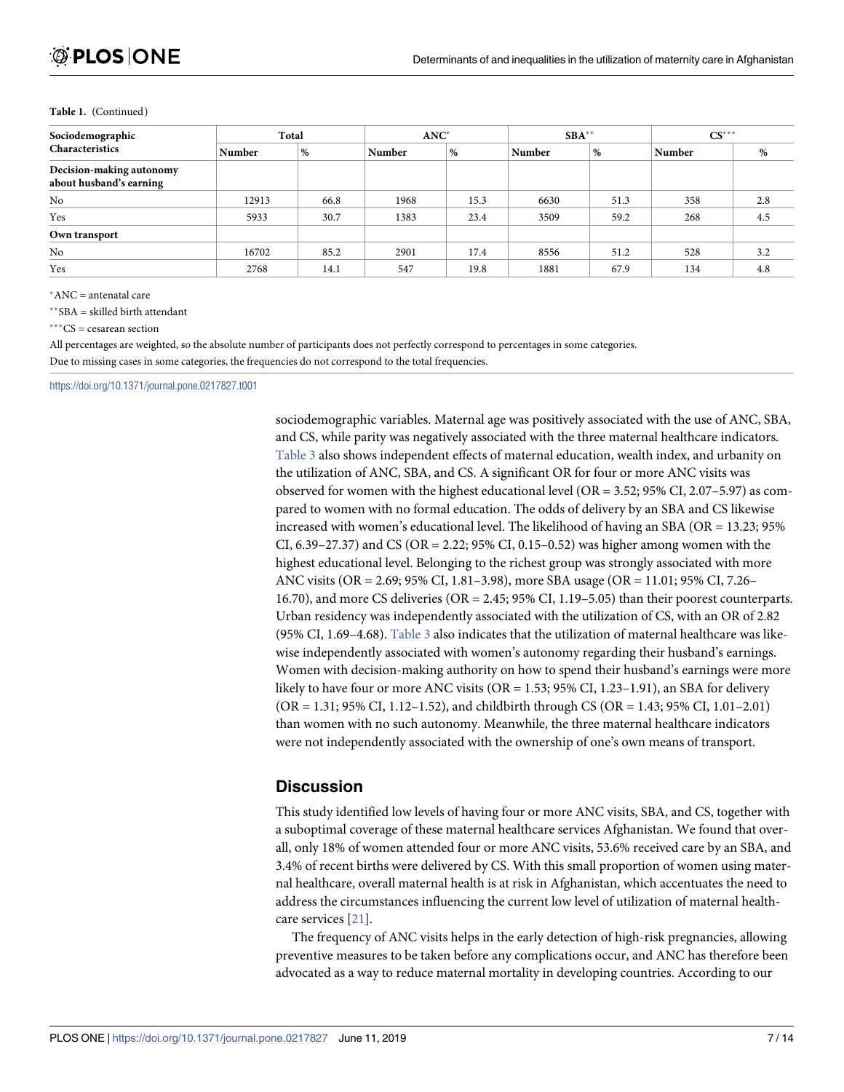#### <span id="page-6-0"></span>**Table 1.** (Continued)

| Sociodemographic<br>Characteristics                 | Total  |               | $ANC^*$ |      | $SBA^{**}$ |      | $CS***$       |     |
|-----------------------------------------------------|--------|---------------|---------|------|------------|------|---------------|-----|
|                                                     | Number | $\frac{9}{6}$ | Number  | $\%$ | Number     | $\%$ | <b>Number</b> | %   |
| Decision-making autonomy<br>about husband's earning |        |               |         |      |            |      |               |     |
| No                                                  | 12913  | 66.8          | 1968    | 15.3 | 6630       | 51.3 | 358           | 2.8 |
| Yes                                                 | 5933   | 30.7          | 1383    | 23.4 | 3509       | 59.2 | 268           | 4.5 |
| Own transport                                       |        |               |         |      |            |      |               |     |
| No                                                  | 16702  | 85.2          | 2901    | 17.4 | 8556       | 51.2 | 528           | 3.2 |
| Yes                                                 | 2768   | 14.1          | 547     | 19.8 | 1881       | 67.9 | 134           | 4.8 |

 $*ANC = antenatal care$ 

 $*$  $SBA =$  skilled birth attendant

 $***CS =$  cesarean section

All percentages are weighted, so the absolute number of participants does not perfectly correspond to percentages in some categories. Due to missing cases in some categories, the frequencies do not correspond to the total frequencies.

<https://doi.org/10.1371/journal.pone.0217827.t001>

sociodemographic variables. Maternal age was positively associated with the use of ANC, SBA, and CS, while parity was negatively associated with the three maternal healthcare indicators. [Table](#page-8-0) 3 also shows independent effects of maternal education, wealth index, and urbanity on the utilization of ANC, SBA, and CS. A significant OR for four or more ANC visits was observed for women with the highest educational level (OR =  $3.52$ ;  $95\%$  CI,  $2.07-5.97$ ) as compared to women with no formal education. The odds of delivery by an SBA and CS likewise increased with women's educational level. The likelihood of having an SBA ( $OR = 13.23$ ; 95% CI,  $6.39 - 27.37$ ) and CS (OR = 2.22;  $95\%$  CI,  $0.15 - 0.52$ ) was higher among women with the highest educational level. Belonging to the richest group was strongly associated with more ANC visits (OR = 2.69; 95% CI, 1.81–3.98), more SBA usage (OR = 11.01; 95% CI, 7.26– 16.70), and more CS deliveries (OR = 2.45; 95% CI, 1.19–5.05) than their poorest counterparts. Urban residency was independently associated with the utilization of CS, with an OR of 2.82 (95% CI, 1.69–4.68). [Table](#page-8-0) 3 also indicates that the utilization of maternal healthcare was likewise independently associated with women's autonomy regarding their husband's earnings. Women with decision-making authority on how to spend their husband's earnings were more likely to have four or more ANC visits ( $OR = 1.53$ ;  $95\%$  CI,  $1.23-1.91$ ), an SBA for delivery (OR = 1.31; 95% CI, 1.12–1.52), and childbirth through CS (OR = 1.43; 95% CI, 1.01–2.01) than women with no such autonomy. Meanwhile, the three maternal healthcare indicators were not independently associated with the ownership of one's own means of transport.

#### **Discussion**

This study identified low levels of having four or more ANC visits, SBA, and CS, together with a suboptimal coverage of these maternal healthcare services Afghanistan. We found that overall, only 18% of women attended four or more ANC visits, 53.6% received care by an SBA, and 3.4% of recent births were delivered by CS. With this small proportion of women using maternal healthcare, overall maternal health is at risk in Afghanistan, which accentuates the need to address the circumstances influencing the current low level of utilization of maternal healthcare services [\[21\]](#page-12-0).

The frequency of ANC visits helps in the early detection of high-risk pregnancies, allowing preventive measures to be taken before any complications occur, and ANC has therefore been advocated as a way to reduce maternal mortality in developing countries. According to our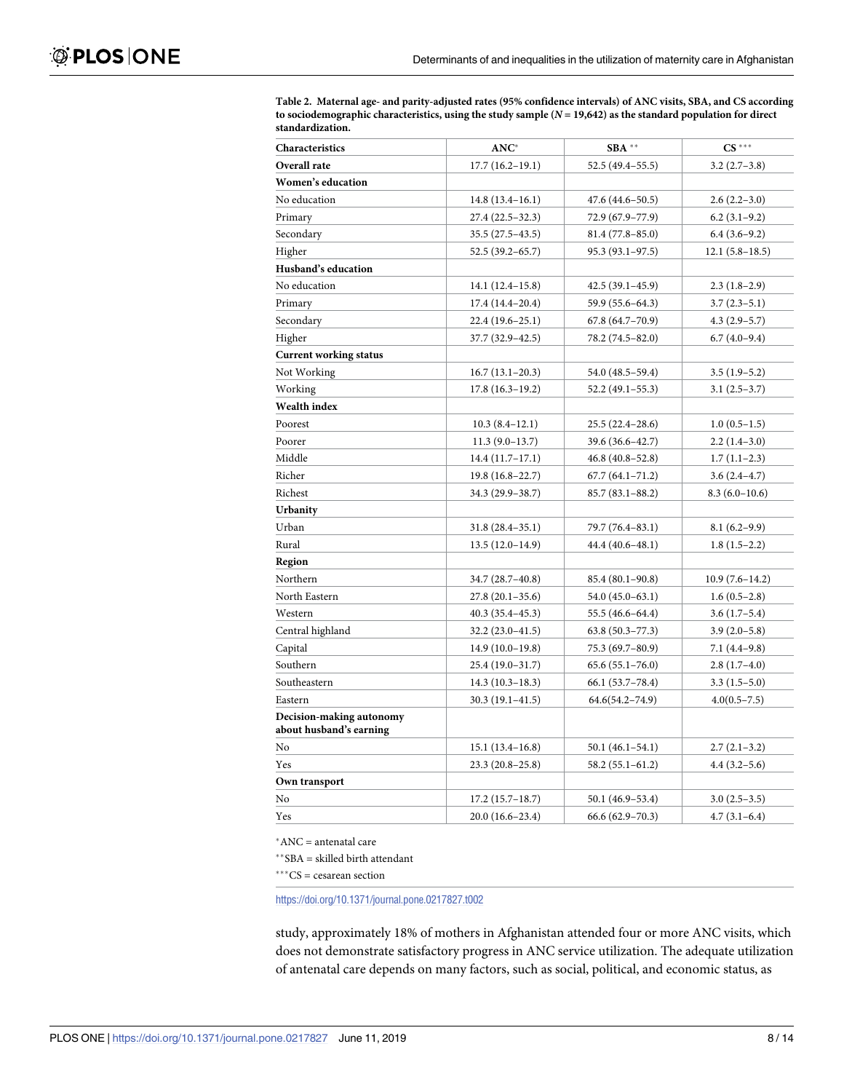<span id="page-7-0"></span>[Table](#page-4-0) 2. Maternal age- and parity-adjusted rates (95% confidence intervals) of ANC visits, SBA, and CS according to sociodemographic characteristics, using the study sample  $(N = 19,642)$  as the standard population for direct **standardization.**

| Characteristics                                     | $ANC^*$             | SBA **              | $CS$ ***         |  |
|-----------------------------------------------------|---------------------|---------------------|------------------|--|
| Overall rate                                        | $17.7(16.2 - 19.1)$ | $52.5(49.4 - 55.5)$ | $3.2(2.7-3.8)$   |  |
| Women's education                                   |                     |                     |                  |  |
| No education                                        | $14.8(13.4 - 16.1)$ | $47.6(44.6 - 50.5)$ | $2.6(2.2-3.0)$   |  |
| Primary                                             | $27.4(22.5 - 32.3)$ | 72.9 (67.9–77.9)    | $6.2(3.1-9.2)$   |  |
| Secondary                                           | $35.5(27.5-43.5)$   | $81.4(77.8 - 85.0)$ | $6.4(3.6-9.2)$   |  |
| Higher                                              | $52.5(39.2 - 65.7)$ | $95.3(93.1-97.5)$   | $12.1(5.8-18.5)$ |  |
| Husband's education                                 |                     |                     |                  |  |
| No education                                        | $14.1(12.4-15.8)$   | $42.5(39.1-45.9)$   | $2.3(1.8-2.9)$   |  |
| Primary                                             | $17.4(14.4-20.4)$   | 59.9 (55.6–64.3)    | $3.7(2.3-5.1)$   |  |
| Secondary                                           | $22.4(19.6-25.1)$   | $67.8(64.7-70.9)$   | $4.3(2.9-5.7)$   |  |
| Higher                                              | 37.7 (32.9–42.5)    | 78.2 (74.5–82.0)    | $6.7(4.0-9.4)$   |  |
| <b>Current working status</b>                       |                     |                     |                  |  |
| Not Working                                         | $16.7(13.1-20.3)$   | 54.0 (48.5–59.4)    | $3.5(1.9-5.2)$   |  |
| Working                                             | $17.8(16.3-19.2)$   | $52.2(49.1-55.3)$   | $3.1(2.5-3.7)$   |  |
| Wealth index                                        |                     |                     |                  |  |
| Poorest                                             | $10.3(8.4-12.1)$    | $25.5(22.4-28.6)$   | $1.0(0.5-1.5)$   |  |
| Poorer                                              | $11.3(9.0-13.7)$    | 39.6 (36.6–42.7)    | $2.2(1.4-3.0)$   |  |
| Middle                                              | $14.4(11.7-17.1)$   | $46.8(40.8 - 52.8)$ | $1.7(1.1-2.3)$   |  |
| Richer                                              | $19.8(16.8-22.7)$   | $67.7(64.1 - 71.2)$ | $3.6(2.4-4.7)$   |  |
| Richest                                             | 34.3 (29.9 - 38.7)  | $85.7(83.1 - 88.2)$ | $8.3(6.0-10.6)$  |  |
| <b>Urbanity</b>                                     |                     |                     |                  |  |
| Urban                                               | $31.8(28.4 - 35.1)$ | 79.7 (76.4-83.1)    | $8.1(6.2 - 9.9)$ |  |
| Rural                                               | $13.5(12.0-14.9)$   | $44.4(40.6-48.1)$   | $1.8(1.5-2.2)$   |  |
| Region                                              |                     |                     |                  |  |
| Northern                                            | 34.7 (28.7–40.8)    | 85.4 (80.1-90.8)    | $10.9(7.6-14.2)$ |  |
| North Eastern                                       | $27.8(20.1-35.6)$   | $54.0(45.0-63.1)$   | $1.6(0.5-2.8)$   |  |
| Western                                             | $40.3(35.4 - 45.3)$ | 55.5 (46.6–64.4)    | $3.6(1.7-5.4)$   |  |
| Central highland                                    | $32.2(23.0-41.5)$   | $63.8(50.3 - 77.3)$ | $3.9(2.0-5.8)$   |  |
| Capital                                             | $14.9(10.0-19.8)$   | 75.3 (69.7–80.9)    | $7.1(4.4-9.8)$   |  |
| Southern                                            | $25.4(19.0-31.7)$   | $65.6(55.1 - 76.0)$ | $2.8(1.7-4.0)$   |  |
| Southeastern                                        | $14.3(10.3-18.3)$   | $66.1(53.7-78.4)$   | $3.3(1.5-5.0)$   |  |
| Eastern                                             | $30.3(19.1-41.5)$   | $64.6(54.2 - 74.9)$ | $4.0(0.5 - 7.5)$ |  |
| Decision-making autonomy<br>about husband's earning |                     |                     |                  |  |
| No                                                  | $15.1(13.4-16.8)$   | $50.1(46.1-54.1)$   | $2.7(2.1-3.2)$   |  |
| Yes                                                 | $23.3(20.8-25.8)$   | $58.2(55.1 - 61.2)$ | $4.4(3.2 - 5.6)$ |  |
| Own transport                                       |                     |                     |                  |  |
| No                                                  | $17.2(15.7 - 18.7)$ | 50.1 (46.9–53.4)    | $3.0(2.5-3.5)$   |  |
| Yes                                                 | $20.0(16.6-23.4)$   | $66.6(62.9 - 70.3)$ | $4.7(3.1-6.4)$   |  |

 $*$ ANC = antenatal care

 $\mbox{``$SBA = skilled birth attendant}$ 

 $\mathrm{^{***}CS=}}$  cesarean section

<https://doi.org/10.1371/journal.pone.0217827.t002>

study, approximately 18% of mothers in Afghanistan attended four or more ANC visits, which does not demonstrate satisfactory progress in ANC service utilization. The adequate utilization of antenatal care depends on many factors, such as social, political, and economic status, as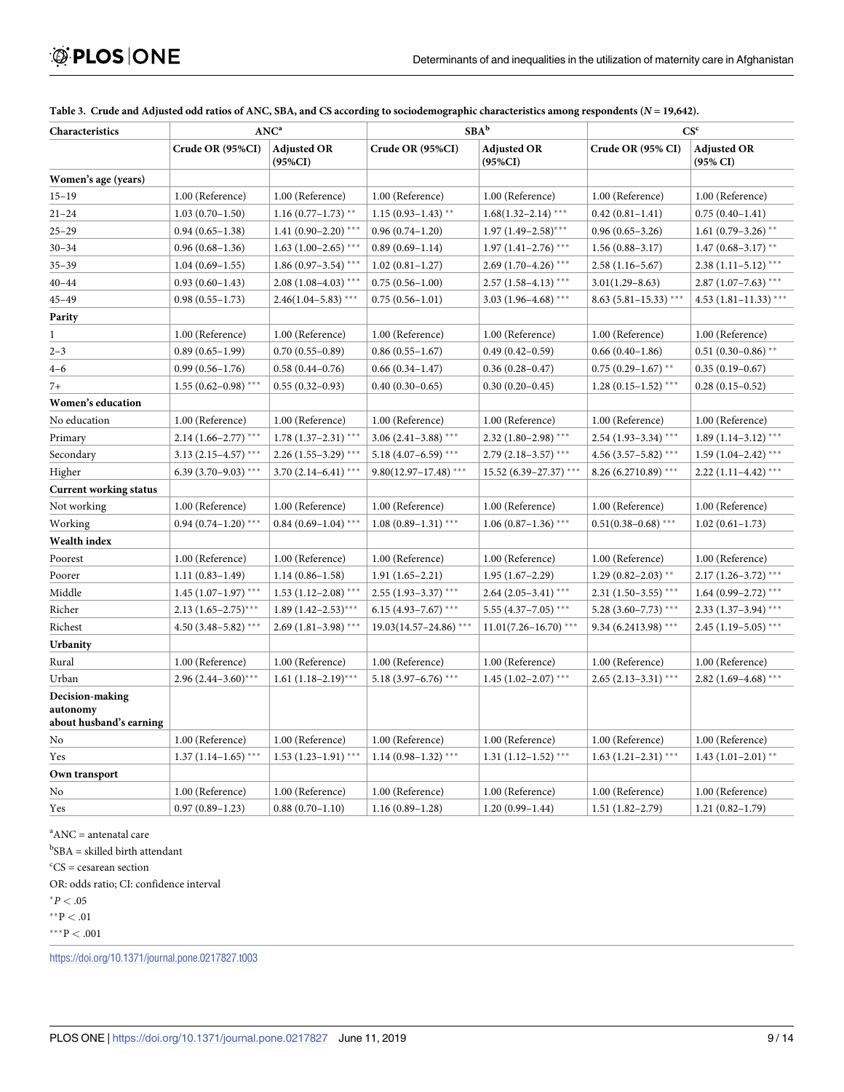| Characteristics                                        | ANC <sup>a</sup>        |                                  | SBA <sup>b</sup>           |                                  | CS <sup>c</sup>          |                                           |  |
|--------------------------------------------------------|-------------------------|----------------------------------|----------------------------|----------------------------------|--------------------------|-------------------------------------------|--|
|                                                        | Crude OR (95%CI)        | <b>Adjusted OR</b><br>$(95\%CI)$ | Crude OR (95%CI)           | <b>Adjusted OR</b><br>$(95\%CI)$ | Crude OR (95% CI)        | <b>Adjusted OR</b><br>$(95\% \text{ CI})$ |  |
| Women's age (years)                                    |                         |                                  |                            |                                  |                          |                                           |  |
| $15 - 19$                                              | 1.00 (Reference)        | 1.00 (Reference)                 | 1.00 (Reference)           | 1.00 (Reference)                 | 1.00 (Reference)         | 1.00 (Reference)                          |  |
| $21 - 24$                                              | $1.03(0.70-1.50)$       | $1.16(0.77-1.73)$ **             | $1.15(0.93 - 1.43)$ **     | $1.68(1.32 - 2.14)$ ***          | $0.42(0.81 - 1.41)$      | $0.75(0.40-1.41)$                         |  |
| $25 - 29$                                              | $0.94(0.65 - 1.38)$     | $1.41(0.90-2.20)$ ***            | $0.96(0.74 - 1.20)$        | $1.97(1.49-2.58)$ ***            | $0.96(0.65 - 3.26)$      | 1.61 $(0.79 - 3.26)$ **                   |  |
| $30 - 34$                                              | $0.96(0.68 - 1.36)$     | $1.63(1.00-2.65)$ ***            | $0.89(0.69 - 1.14)$        | $1.97(1.41-2.76)$ ***            | $1.56(0.88 - 3.17)$      | $1.47(0.68 - 3.17)$ **                    |  |
| $35 - 39$                                              | $1.04(0.69 - 1.55)$     | $1.86(0.97-3.54)$ ***            | $1.02(0.81 - 1.27)$        | $2.69(1.70-4.26)$ ***            | $2.58(1.16 - 5.67)$      | $2.38(1.11-5.12)$ ***                     |  |
| $40 - 44$                                              | $0.93(0.60 - 1.43)$     | $2.08(1.08-4.03)$ ***            | $0.75(0.56 - 1.00)$        | $2.57(1.58-4.13)$ ***            | $3.01(1.29 - 8.63)$      | $2.87(1.07-7.63)$ ***                     |  |
| $45 - 49$                                              | $0.98(0.55 - 1.73)$     | $2.46(1.04 - 5.83)$ ***          | $0.75(0.56 - 1.01)$        | 3.03 (1.96-4.68) ***             | 8.63 (5.81-15.33) ***    | 4.53 $(1.81 - 11.33)$ ***                 |  |
| Parity                                                 |                         |                                  |                            |                                  |                          |                                           |  |
| 1                                                      | 1.00 (Reference)        | 1.00 (Reference)                 | 1.00 (Reference)           | 1.00 (Reference)                 | 1.00 (Reference)         | 1.00 (Reference)                          |  |
| $2 - 3$                                                | $0.89(0.65-1.99)$       | $0.70(0.55 - 0.89)$              | $0.86(0.55 - 1.67)$        | $0.49(0.42 - 0.59)$              | $0.66(0.40-1.86)$        | $0.51(0.30-0.86)$ **                      |  |
| $4 - 6$                                                | $0.99(0.56 - 1.76)$     | $0.58(0.44 - 0.76)$              | $0.66(0.34-1.47)$          | $0.36(0.28 - 0.47)$              | $0.75(0.29-1.67)$ **     | $0.35(0.19 - 0.67)$                       |  |
| 7+                                                     | $1.55(0.62 - 0.98)$ *** | $0.55(0.32 - 0.93)$              | $0.40(0.30-0.65)$          | $0.30(0.20 - 0.45)$              | $1.28(0.15-1.52)$ ***    | $0.28(0.15-0.52)$                         |  |
| <b>Women's education</b>                               |                         |                                  |                            |                                  |                          |                                           |  |
| No education                                           | 1.00 (Reference)        | 1.00 (Reference)                 | 1.00 (Reference)           | 1.00 (Reference)                 | 1.00 (Reference)         | 1.00 (Reference)                          |  |
| Primary                                                | $2.14(1.66 - 2.77)$ *** | $1.78(1.37-2.31)$ ***            | $3.06(2.41-3.88)$ ***      | 2.32 (1.80-2.98) ***             | $2.54(1.93 - 3.34)$ ***  | $1.89(1.14-3.12)$ ***                     |  |
| Secondary                                              | $3.13(2.15-4.57)$ ***   | $2.26(1.55-3.29)$ ***            | $5.18(4.07-6.59)$ ***      | $2.79(2.18-3.57)$ ***            | 4.56 $(3.57 - 5.82)$ *** | $1.59(1.04-2.42)$ ***                     |  |
| Higher                                                 | 6.39 (3.70-9.03) ***    | $3.70(2.14-6.41)$ ***            | $9.80(12.97 - 17.48)$ ***  | $15.52(6.39-27.37)$ ***          | $8.26(6.2710.89)$ ***    | $2.22(1.11-4.42)$ ***                     |  |
| <b>Current working status</b>                          |                         |                                  |                            |                                  |                          |                                           |  |
| Not working                                            | 1.00 (Reference)        | 1.00 (Reference)                 | 1.00 (Reference)           | 1.00 (Reference)                 | 1.00 (Reference)         | 1.00 (Reference)                          |  |
| Working                                                | $0.94(0.74-1.20)$ ***   | $0.84(0.69-1.04)$ ***            | $1.08(0.89-1.31)$ ***      | $1.06(0.87-1.36)$ ***            | $0.51(0.38 - 0.68)$ ***  | $1.02(0.61 - 1.73)$                       |  |
| Wealth index                                           |                         |                                  |                            |                                  |                          |                                           |  |
| Poorest                                                | 1.00 (Reference)        | 1.00 (Reference)                 | 1.00 (Reference)           | 1.00 (Reference)                 | 1.00 (Reference)         | 1.00 (Reference)                          |  |
| Poorer                                                 | $1.11(0.83 - 1.49)$     | $1.14(0.86 - 1.58)$              | $1.91(1.65 - 2.21)$        | $1.95(1.67-2.29)$                | $1.29(0.82 - 2.03)$ **   | $2.17(1.26 - 3.72)$ ***                   |  |
| Middle                                                 | $1.45(1.07-1.97)$ ***   | $1.53(1.12-2.08)$ ***            | $2.55(1.93 - 3.37)$ ***    | $2.64(2.05-3.41)$ ***            | $2.31(1.50-3.55)$ ***    | $1.64(0.99 - 2.72)$ ***                   |  |
| Richer                                                 | $2.13(1.65-2.75)$ ***   | $1.89(1.42 - 2.53)$ ***          | $6.15(4.93 - 7.67)$ ***    | $5.55(4.37-7.05)$ ***            | 5.28 $(3.60 - 7.73)$ *** | $2.33(1.37-3.94)$ ***                     |  |
| Richest                                                | 4.50 (3.48-5.82) ***    | $2.69(1.81-3.98)$ ***            | $19.03(14.57 - 24.86)$ *** | $11.01(7.26 - 16.70)$ ***        | 9.34 (6.2413.98) ***     | $2.45(1.19-5.05)$ ***                     |  |
| Urbanity                                               |                         |                                  |                            |                                  |                          |                                           |  |
| Rural                                                  | 1.00 (Reference)        | 1.00 (Reference)                 | 1.00 (Reference)           | 1.00 (Reference)                 | 1.00 (Reference)         | 1.00 (Reference)                          |  |
| Urban                                                  | $2.96(2.44 - 3.60)$ *** | $1.61(1.18-2.19)$ ***            | $5.18(3.97 - 6.76)$ ***    | $1.45(1.02 - 2.07)$ ***          | $2.65(2.13-3.31)$ ***    | $2.82(1.69 - 4.68)$ ***                   |  |
| Decision-making<br>autonomy<br>about husband's earning |                         |                                  |                            |                                  |                          |                                           |  |
| No                                                     | 1.00 (Reference)        | 1.00 (Reference)                 | 1.00 (Reference)           | 1.00 (Reference)                 | 1.00 (Reference)         | 1.00 (Reference)                          |  |
| Yes                                                    | $1.37(1.14-1.65)$ ***   | $1.53(1.23-1.91)$ ***            | $1.14(0.98-1.32)$ ***      | $1.31(1.12-1.52)$ ***            | $1.63(1.21-2.31)$ ***    | $1.43(1.01-2.01)$ **                      |  |
| Own transport                                          |                         |                                  |                            |                                  |                          |                                           |  |
| No                                                     | 1.00 (Reference)        | 1.00 (Reference)                 | 1.00 (Reference)           | 1.00 (Reference)                 | 1.00 (Reference)         | 1.00 (Reference)                          |  |
| Yes                                                    | $0.97(0.89 - 1.23)$     | $0.88(0.70-1.10)$                | $1.16(0.89-1.28)$          | $1.20(0.99 - 1.44)$              | $1.51(1.82 - 2.79)$      | $1.21(0.82 - 1.79)$                       |  |

#### <span id="page-8-0"></span>Table 3. Crude and Adjusted odd ratios of ANC, SBA, and CS according to sociodemographic characteristics among respondents ( $N = 19,642$ ).

 $ANC =$  antenatal care

 $^{\rm b}\text{SBA}$  = skilled birth attendant

 $C$ S = cesarean section

OR: odds ratio; CI: confidence interval

 $^*P<.05$ 

 $^{\ast\ast}\mathrm{P} < .01$ 

\*\*\* $P < .001$ 

https://doi.org/10.1371/journal.pone.0217827.t003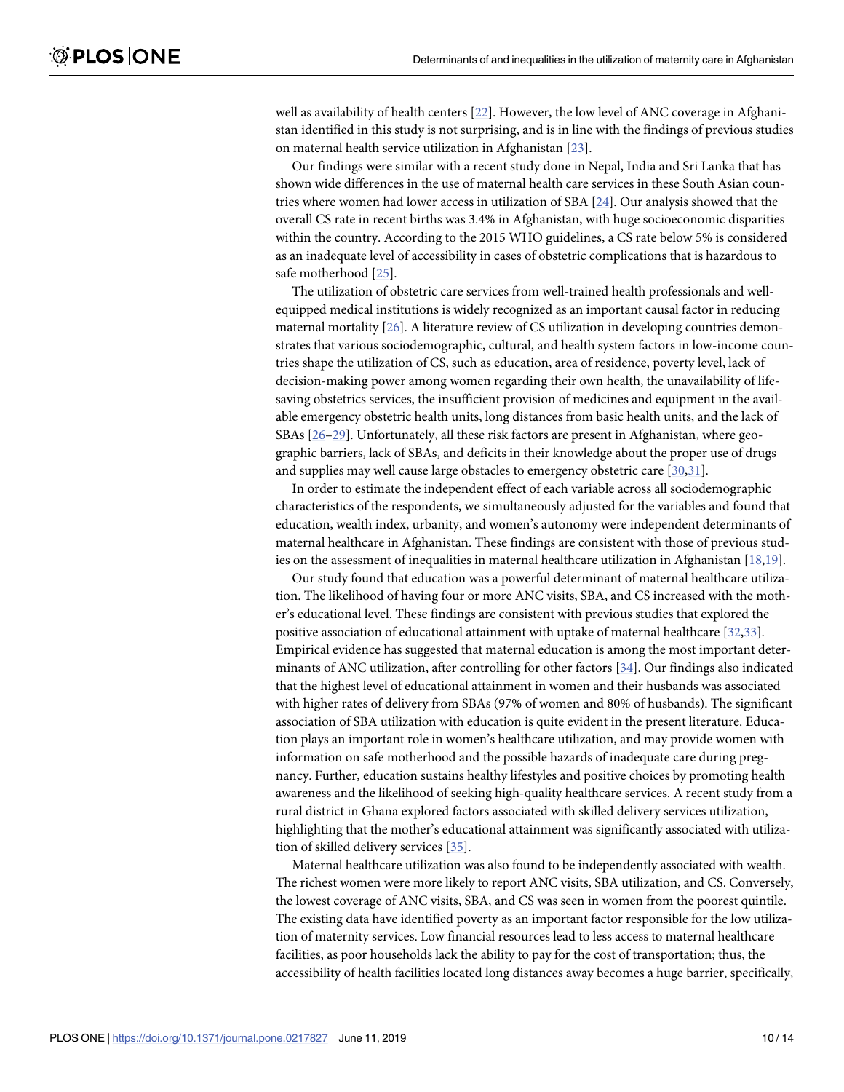<span id="page-9-0"></span>well as availability of health centers [[22](#page-12-0)]. However, the low level of ANC coverage in Afghanistan identified in this study is not surprising, and is in line with the findings of previous studies on maternal health service utilization in Afghanistan [\[23\]](#page-12-0).

Our findings were similar with a recent study done in Nepal, India and Sri Lanka that has shown wide differences in the use of maternal health care services in these South Asian countries where women had lower access in utilization of SBA [\[24\]](#page-12-0). Our analysis showed that the overall CS rate in recent births was 3.4% in Afghanistan, with huge socioeconomic disparities within the country. According to the 2015 WHO guidelines, a CS rate below 5% is considered as an inadequate level of accessibility in cases of obstetric complications that is hazardous to safe motherhood [\[25\]](#page-12-0).

The utilization of obstetric care services from well-trained health professionals and wellequipped medical institutions is widely recognized as an important causal factor in reducing maternal mortality [[26](#page-12-0)]. A literature review of CS utilization in developing countries demonstrates that various sociodemographic, cultural, and health system factors in low-income countries shape the utilization of CS, such as education, area of residence, poverty level, lack of decision-making power among women regarding their own health, the unavailability of lifesaving obstetrics services, the insufficient provision of medicines and equipment in the available emergency obstetric health units, long distances from basic health units, and the lack of SBAs [[26–29\]](#page-12-0). Unfortunately, all these risk factors are present in Afghanistan, where geographic barriers, lack of SBAs, and deficits in their knowledge about the proper use of drugs and supplies may well cause large obstacles to emergency obstetric care [\[30,31\]](#page-12-0).

In order to estimate the independent effect of each variable across all sociodemographic characteristics of the respondents, we simultaneously adjusted for the variables and found that education, wealth index, urbanity, and women's autonomy were independent determinants of maternal healthcare in Afghanistan. These findings are consistent with those of previous studies on the assessment of inequalities in maternal healthcare utilization in Afghanistan [\[18,19\]](#page-12-0).

Our study found that education was a powerful determinant of maternal healthcare utilization. The likelihood of having four or more ANC visits, SBA, and CS increased with the mother's educational level. These findings are consistent with previous studies that explored the positive association of educational attainment with uptake of maternal healthcare [\[32,](#page-12-0)[33](#page-13-0)]. Empirical evidence has suggested that maternal education is among the most important determinants of ANC utilization, after controlling for other factors [[34](#page-13-0)]. Our findings also indicated that the highest level of educational attainment in women and their husbands was associated with higher rates of delivery from SBAs (97% of women and 80% of husbands). The significant association of SBA utilization with education is quite evident in the present literature. Education plays an important role in women's healthcare utilization, and may provide women with information on safe motherhood and the possible hazards of inadequate care during pregnancy. Further, education sustains healthy lifestyles and positive choices by promoting health awareness and the likelihood of seeking high-quality healthcare services. A recent study from a rural district in Ghana explored factors associated with skilled delivery services utilization, highlighting that the mother's educational attainment was significantly associated with utilization of skilled delivery services [[35](#page-13-0)].

Maternal healthcare utilization was also found to be independently associated with wealth. The richest women were more likely to report ANC visits, SBA utilization, and CS. Conversely, the lowest coverage of ANC visits, SBA, and CS was seen in women from the poorest quintile. The existing data have identified poverty as an important factor responsible for the low utilization of maternity services. Low financial resources lead to less access to maternal healthcare facilities, as poor households lack the ability to pay for the cost of transportation; thus, the accessibility of health facilities located long distances away becomes a huge barrier, specifically,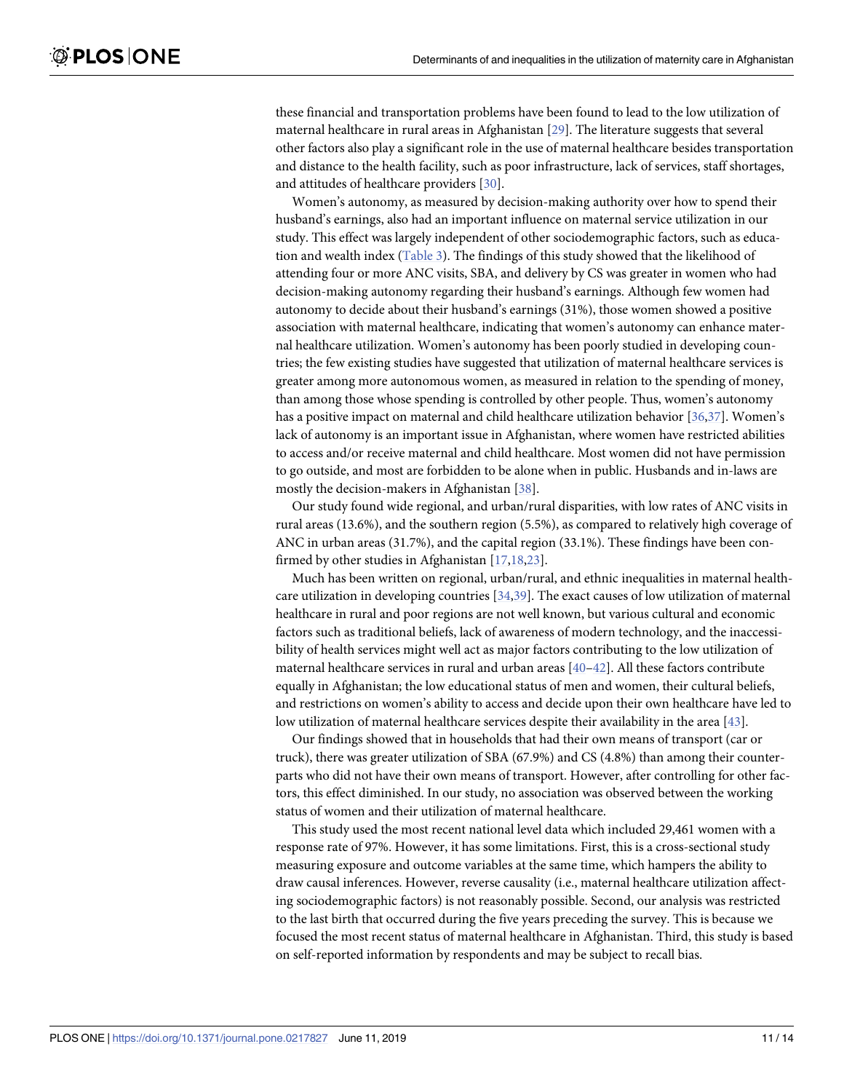<span id="page-10-0"></span>these financial and transportation problems have been found to lead to the low utilization of maternal healthcare in rural areas in Afghanistan [\[29\]](#page-12-0). The literature suggests that several other factors also play a significant role in the use of maternal healthcare besides transportation and distance to the health facility, such as poor infrastructure, lack of services, staff shortages, and attitudes of healthcare providers [[30](#page-12-0)].

Women's autonomy, as measured by decision-making authority over how to spend their husband's earnings, also had an important influence on maternal service utilization in our study. This effect was largely independent of other sociodemographic factors, such as education and wealth index ([Table](#page-8-0) 3). The findings of this study showed that the likelihood of attending four or more ANC visits, SBA, and delivery by CS was greater in women who had decision-making autonomy regarding their husband's earnings. Although few women had autonomy to decide about their husband's earnings (31%), those women showed a positive association with maternal healthcare, indicating that women's autonomy can enhance maternal healthcare utilization. Women's autonomy has been poorly studied in developing countries; the few existing studies have suggested that utilization of maternal healthcare services is greater among more autonomous women, as measured in relation to the spending of money, than among those whose spending is controlled by other people. Thus, women's autonomy has a positive impact on maternal and child healthcare utilization behavior [[36](#page-13-0),[37](#page-13-0)]. Women's lack of autonomy is an important issue in Afghanistan, where women have restricted abilities to access and/or receive maternal and child healthcare. Most women did not have permission to go outside, and most are forbidden to be alone when in public. Husbands and in-laws are mostly the decision-makers in Afghanistan [\[38\]](#page-13-0).

Our study found wide regional, and urban/rural disparities, with low rates of ANC visits in rural areas (13.6%), and the southern region (5.5%), as compared to relatively high coverage of ANC in urban areas (31.7%), and the capital region (33.1%). These findings have been confirmed by other studies in Afghanistan [[17](#page-12-0),[18,23\]](#page-12-0).

Much has been written on regional, urban/rural, and ethnic inequalities in maternal healthcare utilization in developing countries [[34](#page-13-0),[39](#page-13-0)]. The exact causes of low utilization of maternal healthcare in rural and poor regions are not well known, but various cultural and economic factors such as traditional beliefs, lack of awareness of modern technology, and the inaccessibility of health services might well act as major factors contributing to the low utilization of maternal healthcare services in rural and urban areas [[40–42\]](#page-13-0). All these factors contribute equally in Afghanistan; the low educational status of men and women, their cultural beliefs, and restrictions on women's ability to access and decide upon their own healthcare have led to low utilization of maternal healthcare services despite their availability in the area [\[43\]](#page-13-0).

Our findings showed that in households that had their own means of transport (car or truck), there was greater utilization of SBA (67.9%) and CS (4.8%) than among their counterparts who did not have their own means of transport. However, after controlling for other factors, this effect diminished. In our study, no association was observed between the working status of women and their utilization of maternal healthcare.

This study used the most recent national level data which included 29,461 women with a response rate of 97%. However, it has some limitations. First, this is a cross-sectional study measuring exposure and outcome variables at the same time, which hampers the ability to draw causal inferences. However, reverse causality (i.e., maternal healthcare utilization affecting sociodemographic factors) is not reasonably possible. Second, our analysis was restricted to the last birth that occurred during the five years preceding the survey. This is because we focused the most recent status of maternal healthcare in Afghanistan. Third, this study is based on self-reported information by respondents and may be subject to recall bias.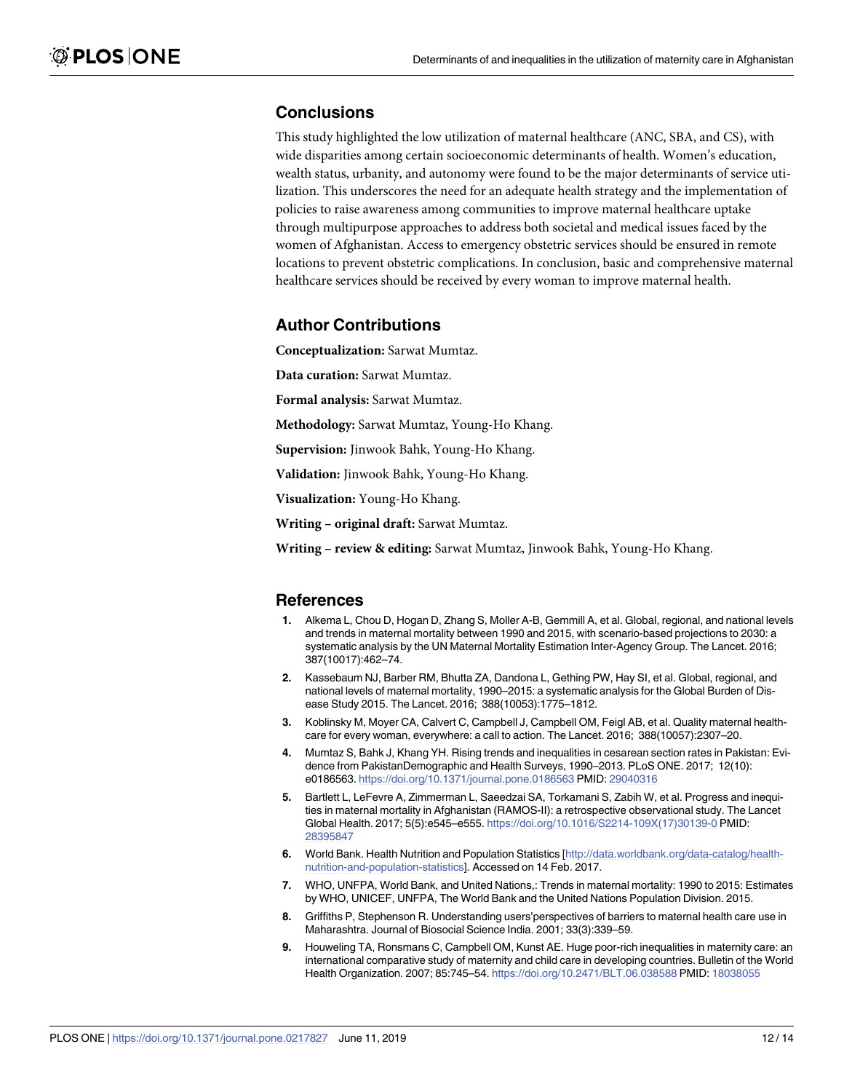#### <span id="page-11-0"></span>**Conclusions**

This study highlighted the low utilization of maternal healthcare (ANC, SBA, and CS), with wide disparities among certain socioeconomic determinants of health. Women's education, wealth status, urbanity, and autonomy were found to be the major determinants of service utilization. This underscores the need for an adequate health strategy and the implementation of policies to raise awareness among communities to improve maternal healthcare uptake through multipurpose approaches to address both societal and medical issues faced by the women of Afghanistan. Access to emergency obstetric services should be ensured in remote locations to prevent obstetric complications. In conclusion, basic and comprehensive maternal healthcare services should be received by every woman to improve maternal health.

#### **Author Contributions**

**Conceptualization:** Sarwat Mumtaz.

**Data curation:** Sarwat Mumtaz.

**Formal analysis:** Sarwat Mumtaz.

**Methodology:** Sarwat Mumtaz, Young-Ho Khang.

**Supervision:** Jinwook Bahk, Young-Ho Khang.

**Validation:** Jinwook Bahk, Young-Ho Khang.

**Visualization:** Young-Ho Khang.

**Writing – original draft:** Sarwat Mumtaz.

**Writing – review & editing:** Sarwat Mumtaz, Jinwook Bahk, Young-Ho Khang.

#### **References**

- **[1](#page-1-0).** Alkema L, Chou D, Hogan D, Zhang S, Moller A-B, Gemmill A, et al. Global, regional, and national levels and trends in maternal mortality between 1990 and 2015, with scenario-based projections to 2030: a systematic analysis by the UN Maternal Mortality Estimation Inter-Agency Group. The Lancet. 2016; 387(10017):462–74.
- **[2](#page-1-0).** Kassebaum NJ, Barber RM, Bhutta ZA, Dandona L, Gething PW, Hay SI, et al. Global, regional, and national levels of maternal mortality, 1990–2015: a systematic analysis for the Global Burden of Disease Study 2015. The Lancet. 2016; 388(10053):1775–1812.
- **[3](#page-1-0).** Koblinsky M, Moyer CA, Calvert C, Campbell J, Campbell OM, Feigl AB, et al. Quality maternal healthcare for every woman, everywhere: a call to action. The Lancet. 2016; 388(10057):2307–20.
- **[4](#page-1-0).** Mumtaz S, Bahk J, Khang YH. Rising trends and inequalities in cesarean section rates in Pakistan: Evidence from PakistanDemographic and Health Surveys, 1990–2013. PLoS ONE. 2017; 12(10): e0186563. <https://doi.org/10.1371/journal.pone.0186563> PMID: [29040316](http://www.ncbi.nlm.nih.gov/pubmed/29040316)
- **[5](#page-1-0).** Bartlett L, LeFevre A, Zimmerman L, Saeedzai SA, Torkamani S, Zabih W, et al. Progress and inequities in maternal mortality in Afghanistan (RAMOS-II): a retrospective observational study. The Lancet Global Health. 2017; 5(5):e545–e555. [https://doi.org/10.1016/S2214-109X\(17\)30139-0](https://doi.org/10.1016/S2214-109X(17)30139-0) PMID: [28395847](http://www.ncbi.nlm.nih.gov/pubmed/28395847)
- **[6](#page-1-0).** World Bank. Health Nutrition and Population Statistics [\[http://data.worldbank.org/data-catalog/health](http://data.worldbank.org/data-catalog/health-nutrition-and-population-statistics)[nutrition-and-population-statistics\]](http://data.worldbank.org/data-catalog/health-nutrition-and-population-statistics). Accessed on 14 Feb. 2017.
- **[7](#page-1-0).** WHO, UNFPA, World Bank, and United Nations,: Trends in maternal mortality: 1990 to 2015: Estimates by WHO, UNICEF, UNFPA, The World Bank and the United Nations Population Division. 2015.
- **[8](#page-1-0).** Griffiths P, Stephenson R. Understanding users'perspectives of barriers to maternal health care use in Maharashtra. Journal of Biosocial Science India. 2001; 33(3):339–59.
- **9.** Houweling TA, Ronsmans C, Campbell OM, Kunst AE. Huge poor-rich inequalities in maternity care: an international comparative study of maternity and child care in developing countries. Bulletin of the World Health Organization. 2007; 85:745–54. <https://doi.org/10.2471/BLT.06.038588> PMID: [18038055](http://www.ncbi.nlm.nih.gov/pubmed/18038055)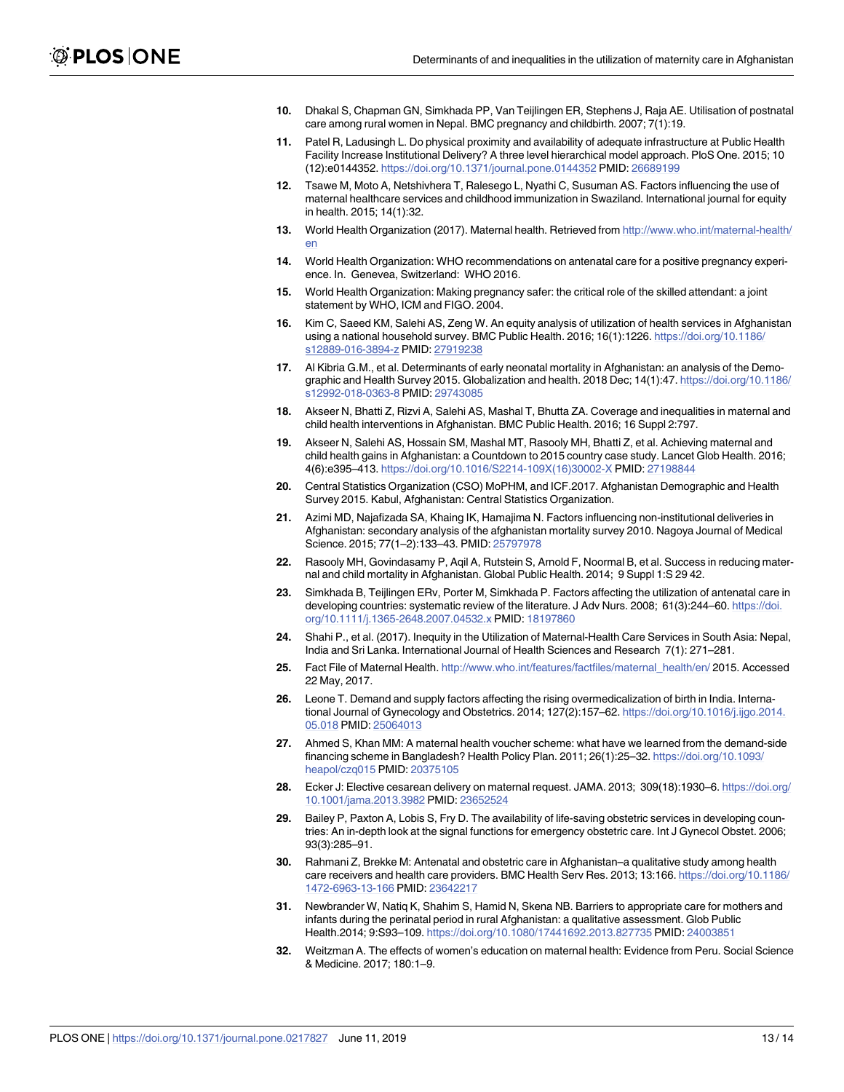- <span id="page-12-0"></span>**10.** Dhakal S, Chapman GN, Simkhada PP, Van Teijlingen ER, Stephens J, Raja AE. Utilisation of postnatal care among rural women in Nepal. BMC pregnancy and childbirth. 2007; 7(1):19.
- **11.** Patel R, Ladusingh L. Do physical proximity and availability of adequate infrastructure at Public Health Facility Increase Institutional Delivery? A three level hierarchical model approach. PloS One. 2015; 10 (12):e0144352. <https://doi.org/10.1371/journal.pone.0144352> PMID: [26689199](http://www.ncbi.nlm.nih.gov/pubmed/26689199)
- **[12](#page-1-0).** Tsawe M, Moto A, Netshivhera T, Ralesego L, Nyathi C, Susuman AS. Factors influencing the use of maternal healthcare services and childhood immunization in Swaziland. International journal for equity in health. 2015; 14(1):32.
- **[13](#page-1-0).** World Health Organization (2017). Maternal health. Retrieved from [http://www.who.int/maternal-health/](http://www.who.int/maternal-health/en) [en](http://www.who.int/maternal-health/en)
- **[14](#page-1-0).** World Health Organization: WHO recommendations on antenatal care for a positive pregnancy experience. In. Genevea, Switzerland: WHO 2016.
- **[15](#page-2-0).** World Health Organization: Making pregnancy safer: the critical role of the skilled attendant: a joint statement by WHO, ICM and FIGO. 2004.
- **[16](#page-2-0).** Kim C, Saeed KM, Salehi AS, Zeng W. An equity analysis of utilization of health services in Afghanistan using a national household survey. BMC Public Health. 2016; 16(1):1226. [https://doi.org/10.1186/](https://doi.org/10.1186/s12889-016-3894-z) [s12889-016-3894-z](https://doi.org/10.1186/s12889-016-3894-z) PMID: [27919238](http://www.ncbi.nlm.nih.gov/pubmed/27919238)
- **[17](#page-2-0).** Al Kibria G.M., et al. Determinants of early neonatal mortality in Afghanistan: an analysis of the Demographic and Health Survey 2015. Globalization and health. 2018 Dec; 14(1):47. [https://doi.org/10.1186/](https://doi.org/10.1186/s12992-018-0363-8) [s12992-018-0363-8](https://doi.org/10.1186/s12992-018-0363-8) PMID: [29743085](http://www.ncbi.nlm.nih.gov/pubmed/29743085)
- **[18](#page-9-0).** Akseer N, Bhatti Z, Rizvi A, Salehi AS, Mashal T, Bhutta ZA. Coverage and inequalities in maternal and child health interventions in Afghanistan. BMC Public Health. 2016; 16 Suppl 2:797.
- **[19](#page-2-0).** Akseer N, Salehi AS, Hossain SM, Mashal MT, Rasooly MH, Bhatti Z, et al. Achieving maternal and child health gains in Afghanistan: a Countdown to 2015 country case study. Lancet Glob Health. 2016; 4(6):e395–413. [https://doi.org/10.1016/S2214-109X\(16\)30002-X](https://doi.org/10.1016/S2214-109X(16)30002-X) PMID: [27198844](http://www.ncbi.nlm.nih.gov/pubmed/27198844)
- **[20](#page-3-0).** Central Statistics Organization (CSO) MoPHM, and ICF.2017. Afghanistan Demographic and Health Survey 2015. Kabul, Afghanistan: Central Statistics Organization.
- **[21](#page-6-0).** Azimi MD, Najafizada SA, Khaing IK, Hamajima N. Factors influencing non-institutional deliveries in Afghanistan: secondary analysis of the afghanistan mortality survey 2010. Nagoya Journal of Medical Science. 2015; 77(1–2):133–43. PMID: [25797978](http://www.ncbi.nlm.nih.gov/pubmed/25797978)
- **[22](#page-9-0).** Rasooly MH, Govindasamy P, Aqil A, Rutstein S, Arnold F, Noormal B, et al. Success in reducing maternal and child mortality in Afghanistan. Global Public Health. 2014; 9 Suppl 1:S 29 42.
- **[23](#page-9-0).** Simkhada B, Teijlingen ERv, Porter M, Simkhada P. Factors affecting the utilization of antenatal care in developing countries: systematic review of the literature. J Adv Nurs. 2008; 61(3):244–60. [https://doi.](https://doi.org/10.1111/j.1365-2648.2007.04532.x) [org/10.1111/j.1365-2648.2007.04532.x](https://doi.org/10.1111/j.1365-2648.2007.04532.x) PMID: [18197860](http://www.ncbi.nlm.nih.gov/pubmed/18197860)
- **[24](#page-9-0).** Shahi P., et al. (2017). Inequity in the Utilization of Maternal-Health Care Services in South Asia: Nepal, India and Sri Lanka. International Journal of Health Sciences and Research 7(1): 271–281.
- **[25](#page-9-0).** Fact File of Maternal Health. [http://www.who.int/features/factfiles/maternal\\_health/en/](http://www.who.int/features/factfiles/maternal_health/en/) 2015. Accessed 22 May, 2017.
- **[26](#page-9-0).** Leone T. Demand and supply factors affecting the rising overmedicalization of birth in India. International Journal of Gynecology and Obstetrics. 2014; 127(2):157–62. [https://doi.org/10.1016/j.ijgo.2014.](https://doi.org/10.1016/j.ijgo.2014.05.018) [05.018](https://doi.org/10.1016/j.ijgo.2014.05.018) PMID: [25064013](http://www.ncbi.nlm.nih.gov/pubmed/25064013)
- **27.** Ahmed S, Khan MM: A maternal health voucher scheme: what have we learned from the demand-side financing scheme in Bangladesh? Health Policy Plan. 2011; 26(1):25–32. [https://doi.org/10.1093/](https://doi.org/10.1093/heapol/czq015) [heapol/czq015](https://doi.org/10.1093/heapol/czq015) PMID: [20375105](http://www.ncbi.nlm.nih.gov/pubmed/20375105)
- **28.** Ecker J: Elective cesarean delivery on maternal request. JAMA. 2013; 309(18):1930–6. [https://doi.org/](https://doi.org/10.1001/jama.2013.3982) [10.1001/jama.2013.3982](https://doi.org/10.1001/jama.2013.3982) PMID: [23652524](http://www.ncbi.nlm.nih.gov/pubmed/23652524)
- **[29](#page-9-0).** Bailey P, Paxton A, Lobis S, Fry D. The availability of life-saving obstetric services in developing countries: An in-depth look at the signal functions for emergency obstetric care. Int J Gynecol Obstet. 2006; 93(3):285–91.
- **[30](#page-9-0).** Rahmani Z, Brekke M: Antenatal and obstetric care in Afghanistan–a qualitative study among health care receivers and health care providers. BMC Health Serv Res. 2013; 13:166. [https://doi.org/10.1186/](https://doi.org/10.1186/1472-6963-13-166) [1472-6963-13-166](https://doi.org/10.1186/1472-6963-13-166) PMID: [23642217](http://www.ncbi.nlm.nih.gov/pubmed/23642217)
- **[31](#page-9-0).** Newbrander W, Natiq K, Shahim S, Hamid N, Skena NB. Barriers to appropriate care for mothers and infants during the perinatal period in rural Afghanistan: a qualitative assessment. Glob Public Health.2014; 9:S93–109. <https://doi.org/10.1080/17441692.2013.827735> PMID: [24003851](http://www.ncbi.nlm.nih.gov/pubmed/24003851)
- **[32](#page-9-0).** Weitzman A. The effects of women's education on maternal health: Evidence from Peru. Social Science & Medicine. 2017; 180:1–9.